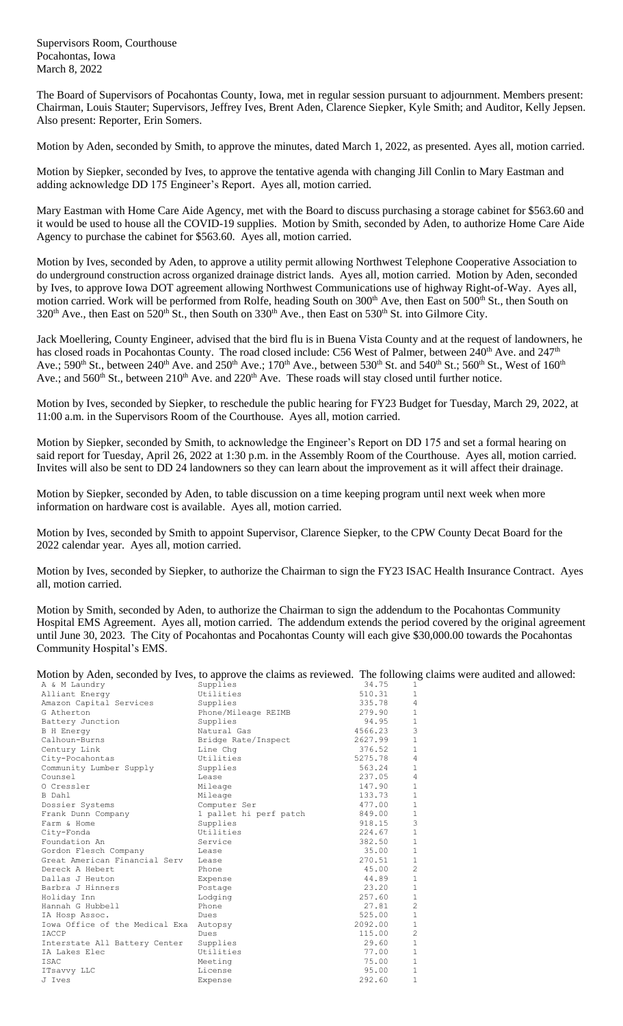Supervisors Room, Courthouse Pocahontas, Iowa March 8, 2022

The Board of Supervisors of Pocahontas County, Iowa, met in regular session pursuant to adjournment. Members present: Chairman, Louis Stauter; Supervisors, Jeffrey Ives, Brent Aden, Clarence Siepker, Kyle Smith; and Auditor, Kelly Jepsen. Also present: Reporter, Erin Somers.

Motion by Aden, seconded by Smith, to approve the minutes, dated March 1, 2022, as presented. Ayes all, motion carried.

Motion by Siepker, seconded by Ives, to approve the tentative agenda with changing Jill Conlin to Mary Eastman and adding acknowledge DD 175 Engineer's Report. Ayes all, motion carried.

Mary Eastman with Home Care Aide Agency, met with the Board to discuss purchasing a storage cabinet for \$563.60 and it would be used to house all the COVID-19 supplies. Motion by Smith, seconded by Aden, to authorize Home Care Aide Agency to purchase the cabinet for \$563.60. Ayes all, motion carried.

Motion by Ives, seconded by Aden, to approve a utility permit allowing Northwest Telephone Cooperative Association to do underground construction across organized drainage district lands. Ayes all, motion carried. Motion by Aden, seconded by Ives, to approve Iowa DOT agreement allowing Northwest Communications use of highway Right-of-Way. Ayes all, motion carried. Work will be performed from Rolfe, heading South on 300<sup>th</sup> Ave, then East on 500<sup>th</sup> St., then South on 320<sup>th</sup> Ave., then East on 520<sup>th</sup> St., then South on 330<sup>th</sup> Ave., then East on 530<sup>th</sup> St. into Gilmore City.

Jack Moellering, County Engineer, advised that the bird flu is in Buena Vista County and at the request of landowners, he has closed roads in Pocahontas County. The road closed include: C56 West of Palmer, between 240<sup>th</sup> Ave. and 247<sup>th</sup> Ave.; 590<sup>th</sup> St., between 240<sup>th</sup> Ave. and 250<sup>th</sup> Ave.; 170<sup>th</sup> Ave., between 530<sup>th</sup> St. and 540<sup>th</sup> St.; 560<sup>th</sup> St., West of 160<sup>th</sup> Ave.; and 560<sup>th</sup> St., between 210<sup>th</sup> Ave. and 220<sup>th</sup> Ave. These roads will stay closed until further notice.

Motion by Ives, seconded by Siepker, to reschedule the public hearing for FY23 Budget for Tuesday, March 29, 2022, at 11:00 a.m. in the Supervisors Room of the Courthouse. Ayes all, motion carried.

Motion by Siepker, seconded by Smith, to acknowledge the Engineer's Report on DD 175 and set a formal hearing on said report for Tuesday, April 26, 2022 at 1:30 p.m. in the Assembly Room of the Courthouse. Ayes all, motion carried. Invites will also be sent to DD 24 landowners so they can learn about the improvement as it will affect their drainage.

Motion by Siepker, seconded by Aden, to table discussion on a time keeping program until next week when more information on hardware cost is available. Ayes all, motion carried.

Motion by Ives, seconded by Smith to appoint Supervisor, Clarence Siepker, to the CPW County Decat Board for the 2022 calendar year. Ayes all, motion carried.

Motion by Ives, seconded by Siepker, to authorize the Chairman to sign the FY23 ISAC Health Insurance Contract. Ayes all, motion carried.

Motion by Smith, seconded by Aden, to authorize the Chairman to sign the addendum to the Pocahontas Community Hospital EMS Agreement. Ayes all, motion carried. The addendum extends the period covered by the original agreement until June 30, 2023. The City of Pocahontas and Pocahontas County will each give \$30,000.00 towards the Pocahontas Community Hospital's EMS.

Motion by Aden, seconded by Ives, to approve the claims as reviewed. The following claims were audited and allowed:

| A & M Laundry                  | Supplies               | 34.75   | 1              |
|--------------------------------|------------------------|---------|----------------|
| Alliant Energy                 | Utilities              | 510.31  | $\mathbf{1}$   |
| Amazon Capital Services        | Supplies               | 335.78  | $\overline{4}$ |
| G Atherton                     | Phone/Mileage REIMB    | 279.90  | $\mathbf{1}$   |
| Battery Junction               | Supplies               | 94.95   | $\mathbf{1}$   |
| <b>B</b> H Energy              | Natural Gas            | 4566.23 | 3              |
| Calhoun-Burns                  | Bridge Rate/Inspect    | 2627.99 | $1\,$          |
| Century Link                   | Line Chq               | 376.52  | $1\,$          |
| City-Pocahontas                | Utilities              | 5275.78 | $\overline{4}$ |
| Community Lumber Supply        | Supplies               | 563.24  | $\mathbf{1}$   |
| Counsel                        | Lease                  | 237.05  | $\overline{4}$ |
| O Cressler                     | Mileage                | 147.90  | $1\,$          |
| B Dahl                         | Mileage                | 133.73  | $1\,$          |
| Dossier Systems                | Computer Ser           | 477.00  | $1\,$          |
| Frank Dunn Company             | 1 pallet hi perf patch | 849.00  | $1\,$          |
| Farm & Home                    | Supplies               | 918.15  | 3              |
| City-Fonda                     | Utilities              | 224.67  | $\mathbf{1}$   |
| Foundation An                  | Service                | 382.50  | $1\,$          |
| Gordon Flesch Company          | Lease                  | 35.00   | $1\,$          |
| Great American Financial Serv  | Lease                  | 270.51  | $1\,$          |
| Dereck A Hebert                | Phone                  | 45.00   | $\overline{c}$ |
| Dallas J Heuton                | Expense                | 44.89   | $\,1\,$        |
| Barbra J Hinners               | Postage                | 23.20   | $1\,$          |
| Holiday Inn                    | Lodging                | 257.60  | $1\,$          |
| Hannah G Hubbell               | Phone                  | 27.81   | $\overline{c}$ |
| IA Hosp Assoc.                 | Dues                   | 525.00  | $1\,$          |
| Iowa Office of the Medical Exa | Autopsy                | 2092.00 | $1\,$          |
| IACCP                          | Dues                   | 115.00  | $\overline{c}$ |
| Interstate All Battery Center  | Supplies               | 29.60   | $\,1\,$        |
| IA Lakes Elec                  | Utilities              | 77.00   | $\mathbf{1}$   |
| <b>TSAC</b>                    | Meeting                | 75.00   | $1\,$          |
| ITsavvy LLC                    | License                | 95.00   | $\mathbf{1}$   |
| J Ives                         | Expense                | 292.60  | $\mathbf{1}$   |
|                                |                        |         |                |